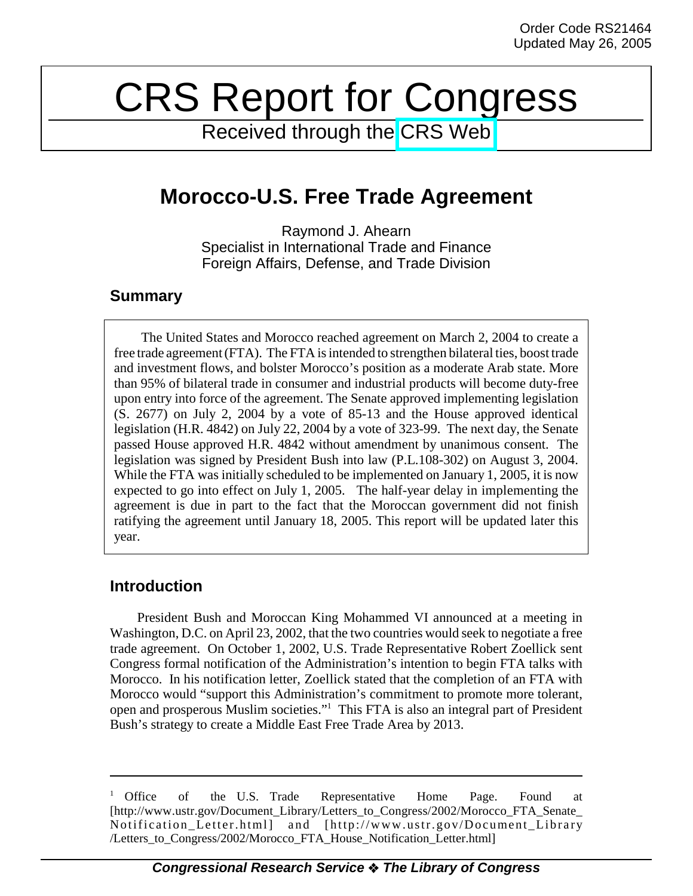# CRS Report for Congress

Received through the [CRS Web](http://www.fas.org/sgp/crs/mideast/index.html)

# **Morocco-U.S. Free Trade Agreement**

Raymond J. Ahearn Specialist in International Trade and Finance Foreign Affairs, Defense, and Trade Division

### **Summary**

The United States and Morocco reached agreement on March 2, 2004 to create a free trade agreement (FTA). The FTA is intended to strengthen bilateral ties, boost trade and investment flows, and bolster Morocco's position as a moderate Arab state. More than 95% of bilateral trade in consumer and industrial products will become duty-free upon entry into force of the agreement. The Senate approved implementing legislation (S. 2677) on July 2, 2004 by a vote of 85-13 and the House approved identical legislation (H.R. 4842) on July 22, 2004 by a vote of 323-99. The next day, the Senate passed House approved H.R. 4842 without amendment by unanimous consent. The legislation was signed by President Bush into law (P.L.108-302) on August 3, 2004. While the FTA was initially scheduled to be implemented on January 1, 2005, it is now expected to go into effect on July 1, 2005. The half-year delay in implementing the agreement is due in part to the fact that the Moroccan government did not finish ratifying the agreement until January 18, 2005. This report will be updated later this year.

## **Introduction**

President Bush and Moroccan King Mohammed VI announced at a meeting in Washington, D.C. on April 23, 2002, that the two countries would seek to negotiate a free trade agreement. On October 1, 2002, U.S. Trade Representative Robert Zoellick sent Congress formal notification of the Administration's intention to begin FTA talks with Morocco. In his notification letter, Zoellick stated that the completion of an FTA with Morocco would "support this Administration's commitment to promote more tolerant, open and prosperous Muslim societies."<sup>1</sup> This FTA is also an integral part of President Bush's strategy to create a Middle East Free Trade Area by 2013.

<sup>&</sup>lt;sup>1</sup> Office of the U.S. Trade Representative Home Page. Found at [http://www.ustr.gov/Document\_Library/Letters\_to\_Congress/2002/Morocco\_FTA\_Senate\_ Notification\_Letter.html] and [http://www.ustr.gov/Document\_Library /Letters\_to\_Congress/2002/Morocco\_FTA\_House\_Notification\_Letter.html]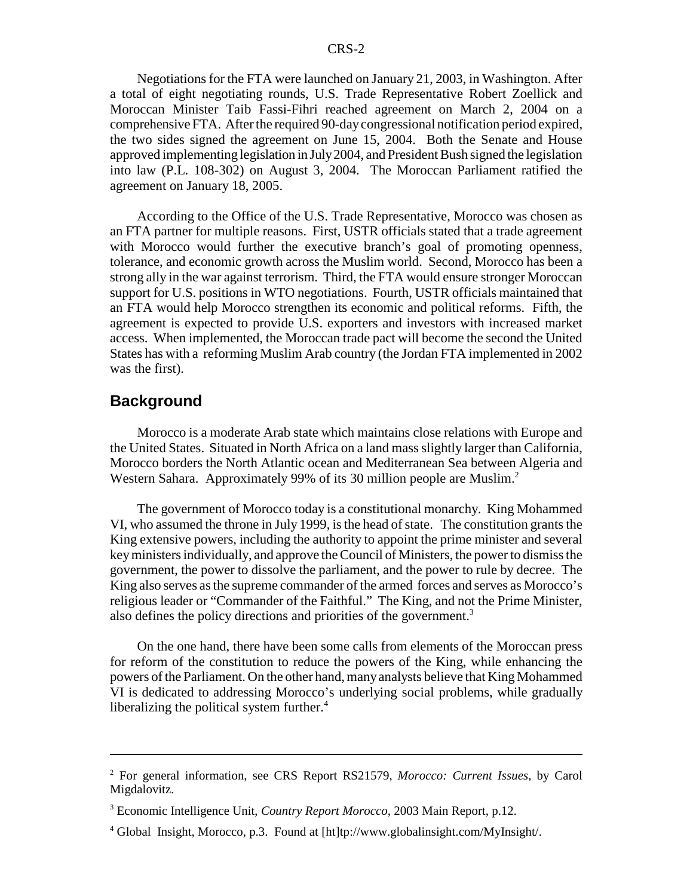Negotiations for the FTA were launched on January 21, 2003, in Washington. After a total of eight negotiating rounds, U.S. Trade Representative Robert Zoellick and Moroccan Minister Taib Fassi-Fihri reached agreement on March 2, 2004 on a comprehensive FTA. After the required 90-day congressional notification period expired, the two sides signed the agreement on June 15, 2004. Both the Senate and House approved implementing legislation in July 2004, and President Bush signed the legislation into law (P.L. 108-302) on August 3, 2004. The Moroccan Parliament ratified the agreement on January 18, 2005.

According to the Office of the U.S. Trade Representative, Morocco was chosen as an FTA partner for multiple reasons. First, USTR officials stated that a trade agreement with Morocco would further the executive branch's goal of promoting openness, tolerance, and economic growth across the Muslim world. Second, Morocco has been a strong ally in the war against terrorism. Third, the FTA would ensure stronger Moroccan support for U.S. positions in WTO negotiations. Fourth, USTR officials maintained that an FTA would help Morocco strengthen its economic and political reforms. Fifth, the agreement is expected to provide U.S. exporters and investors with increased market access. When implemented, the Moroccan trade pact will become the second the United States has with a reforming Muslim Arab country (the Jordan FTA implemented in 2002 was the first).

#### **Background**

Morocco is a moderate Arab state which maintains close relations with Europe and the United States. Situated in North Africa on a land mass slightly larger than California, Morocco borders the North Atlantic ocean and Mediterranean Sea between Algeria and Western Sahara. Approximately 99% of its 30 million people are Muslim.<sup>2</sup>

The government of Morocco today is a constitutional monarchy. King Mohammed VI, who assumed the throne in July 1999, is the head of state. The constitution grants the King extensive powers, including the authority to appoint the prime minister and several key ministers individually, and approve the Council of Ministers, the power to dismiss the government, the power to dissolve the parliament, and the power to rule by decree. The King also serves as the supreme commander of the armed forces and serves as Morocco's religious leader or "Commander of the Faithful." The King, and not the Prime Minister, also defines the policy directions and priorities of the government.<sup>3</sup>

On the one hand, there have been some calls from elements of the Moroccan press for reform of the constitution to reduce the powers of the King, while enhancing the powers of the Parliament. On the other hand, many analysts believe that King Mohammed VI is dedicated to addressing Morocco's underlying social problems, while gradually liberalizing the political system further.<sup>4</sup>

<sup>2</sup> For general information, see CRS Report RS21579, *Morocco: Current Issues*, by Carol Migdalovitz.

<sup>3</sup> Economic Intelligence Unit, *Country Report Morocco,* 2003 Main Report, p.12.

<sup>4</sup> Global Insight, Morocco, p.3. Found at [ht]tp://www.globalinsight.com/MyInsight/.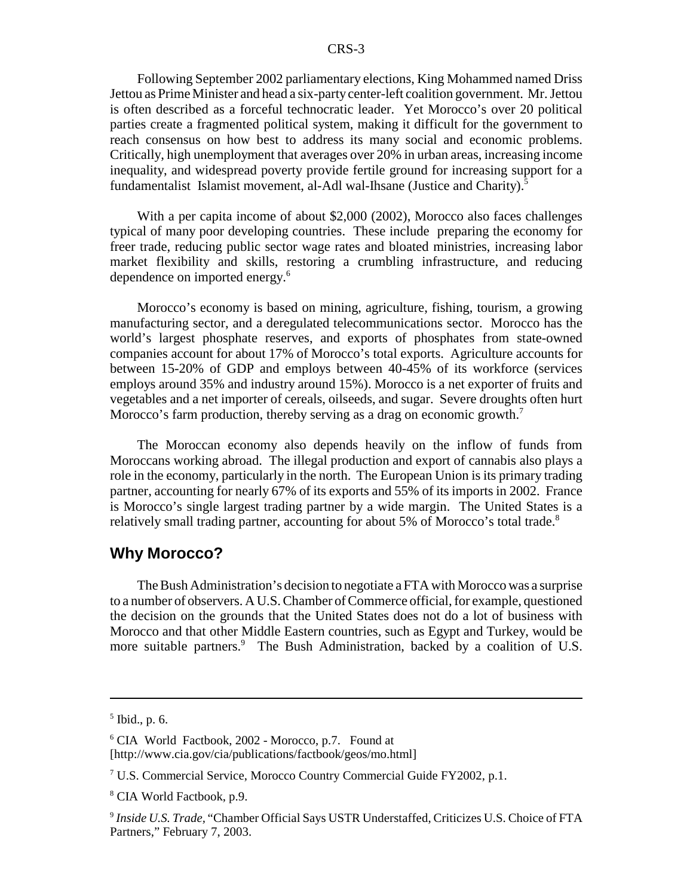Following September 2002 parliamentary elections, King Mohammed named Driss Jettou as Prime Minister and head a six-party center-left coalition government. Mr. Jettou is often described as a forceful technocratic leader. Yet Morocco's over 20 political parties create a fragmented political system, making it difficult for the government to reach consensus on how best to address its many social and economic problems. Critically, high unemployment that averages over 20% in urban areas, increasing income inequality, and widespread poverty provide fertile ground for increasing support for a fundamentalist Islamist movement, al-Adl wal-Ihsane (Justice and Charity).<sup>5</sup>

With a per capita income of about \$2,000 (2002), Morocco also faces challenges typical of many poor developing countries. These include preparing the economy for freer trade, reducing public sector wage rates and bloated ministries, increasing labor market flexibility and skills, restoring a crumbling infrastructure, and reducing dependence on imported energy.6

Morocco's economy is based on mining, agriculture, fishing, tourism, a growing manufacturing sector, and a deregulated telecommunications sector. Morocco has the world's largest phosphate reserves, and exports of phosphates from state-owned companies account for about 17% of Morocco's total exports. Agriculture accounts for between 15-20% of GDP and employs between 40-45% of its workforce (services employs around 35% and industry around 15%). Morocco is a net exporter of fruits and vegetables and a net importer of cereals, oilseeds, and sugar. Severe droughts often hurt Morocco's farm production, thereby serving as a drag on economic growth.<sup>7</sup>

The Moroccan economy also depends heavily on the inflow of funds from Moroccans working abroad. The illegal production and export of cannabis also plays a role in the economy, particularly in the north. The European Union is its primary trading partner, accounting for nearly 67% of its exports and 55% of its imports in 2002. France is Morocco's single largest trading partner by a wide margin. The United States is a relatively small trading partner, accounting for about 5% of Morocco's total trade.<sup>8</sup>

#### **Why Morocco?**

The Bush Administration's decision to negotiate a FTA with Morocco was a surprise to a number of observers. A U.S. Chamber of Commerce official, for example, questioned the decision on the grounds that the United States does not do a lot of business with Morocco and that other Middle Eastern countries, such as Egypt and Turkey, would be more suitable partners.<sup>9</sup> The Bush Administration, backed by a coalition of U.S.

<sup>5</sup> Ibid., p. 6.

<sup>6</sup> CIA World Factbook, 2002 - Morocco, p.7. Found at [http://www.cia.gov/cia/publications/factbook/geos/mo.html]

<sup>&</sup>lt;sup>7</sup> U.S. Commercial Service, Morocco Country Commercial Guide FY2002, p.1.

<sup>8</sup> CIA World Factbook, p.9.

<sup>9</sup> *Inside U.S. Trade,* "Chamber Official Says USTR Understaffed, Criticizes U.S. Choice of FTA Partners," February 7, 2003.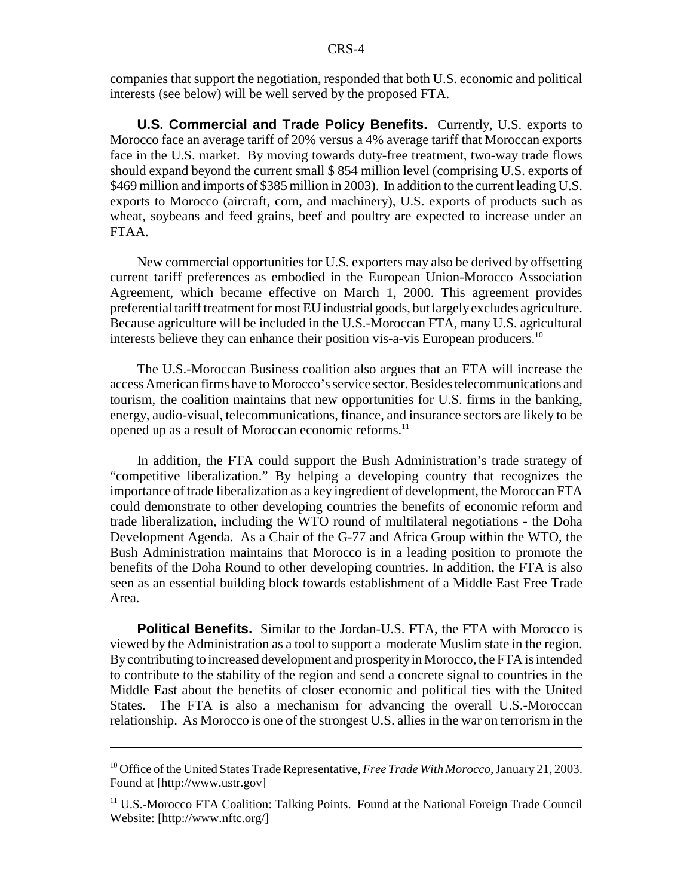companies that support the negotiation, responded that both U.S. economic and political interests (see below) will be well served by the proposed FTA.

**U.S. Commercial and Trade Policy Benefits.** Currently, U.S. exports to Morocco face an average tariff of 20% versus a 4% average tariff that Moroccan exports face in the U.S. market. By moving towards duty-free treatment, two-way trade flows should expand beyond the current small \$ 854 million level (comprising U.S. exports of \$469 million and imports of \$385 million in 2003). In addition to the current leading U.S. exports to Morocco (aircraft, corn, and machinery), U.S. exports of products such as wheat, soybeans and feed grains, beef and poultry are expected to increase under an FTAA.

New commercial opportunities for U.S. exporters may also be derived by offsetting current tariff preferences as embodied in the European Union-Morocco Association Agreement, which became effective on March 1, 2000. This agreement provides preferential tariff treatment for most EU industrial goods, but largely excludes agriculture. Because agriculture will be included in the U.S.-Moroccan FTA, many U.S. agricultural interests believe they can enhance their position vis-a-vis European producers.<sup>10</sup>

The U.S.-Moroccan Business coalition also argues that an FTA will increase the access American firms have to Morocco's service sector. Besides telecommunications and tourism, the coalition maintains that new opportunities for U.S. firms in the banking, energy, audio-visual, telecommunications, finance, and insurance sectors are likely to be opened up as a result of Moroccan economic reforms.<sup>11</sup>

In addition, the FTA could support the Bush Administration's trade strategy of "competitive liberalization." By helping a developing country that recognizes the importance of trade liberalization as a key ingredient of development, the Moroccan FTA could demonstrate to other developing countries the benefits of economic reform and trade liberalization, including the WTO round of multilateral negotiations - the Doha Development Agenda. As a Chair of the G-77 and Africa Group within the WTO, the Bush Administration maintains that Morocco is in a leading position to promote the benefits of the Doha Round to other developing countries. In addition, the FTA is also seen as an essential building block towards establishment of a Middle East Free Trade Area.

**Political Benefits.** Similar to the Jordan-U.S. FTA, the FTA with Morocco is viewed by the Administration as a tool to support a moderate Muslim state in the region. By contributing to increased development and prosperity in Morocco, the FTA is intended to contribute to the stability of the region and send a concrete signal to countries in the Middle East about the benefits of closer economic and political ties with the United States. The FTA is also a mechanism for advancing the overall U.S.-Moroccan relationship. As Morocco is one of the strongest U.S. allies in the war on terrorism in the

<sup>10</sup> Office of the United States Trade Representative, *Free Trade With Morocco,* January 21, 2003. Found at [http://www.ustr.gov]

<sup>&</sup>lt;sup>11</sup> U.S.-Morocco FTA Coalition: Talking Points. Found at the National Foreign Trade Council Website: [http://www.nftc.org/]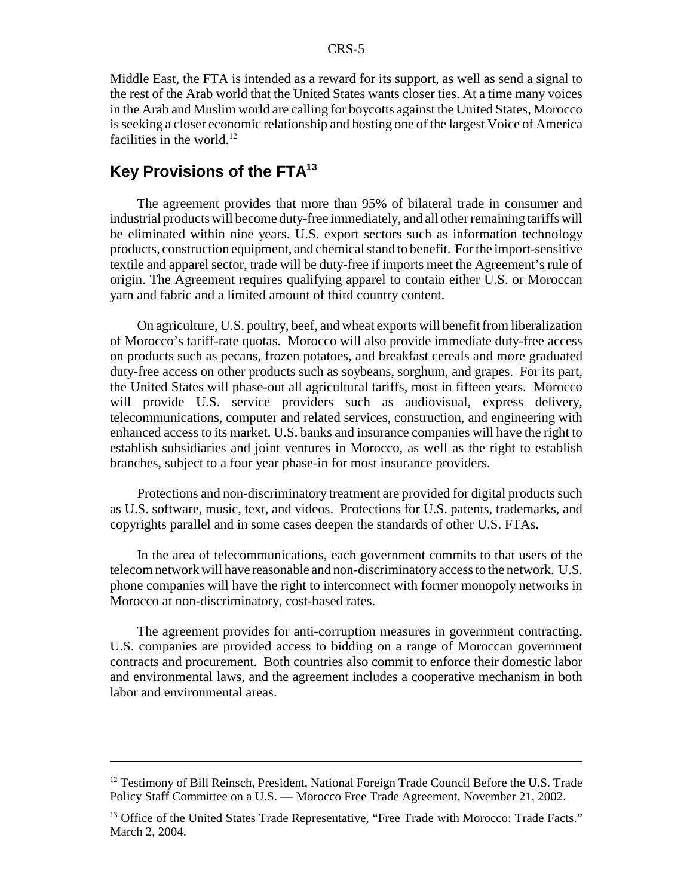Middle East, the FTA is intended as a reward for its support, as well as send a signal to the rest of the Arab world that the United States wants closer ties. At a time many voices in the Arab and Muslim world are calling for boycotts against the United States, Morocco is seeking a closer economic relationship and hosting one of the largest Voice of America facilities in the world.<sup>12</sup>

# **Key Provisions of the FTA13**

The agreement provides that more than 95% of bilateral trade in consumer and industrial products will become duty-free immediately, and all other remaining tariffs will be eliminated within nine years. U.S. export sectors such as information technology products, construction equipment, and chemical stand to benefit. For the import-sensitive textile and apparel sector, trade will be duty-free if imports meet the Agreement's rule of origin. The Agreement requires qualifying apparel to contain either U.S. or Moroccan yarn and fabric and a limited amount of third country content.

On agriculture, U.S. poultry, beef, and wheat exports will benefit from liberalization of Morocco's tariff-rate quotas. Morocco will also provide immediate duty-free access on products such as pecans, frozen potatoes, and breakfast cereals and more graduated duty-free access on other products such as soybeans, sorghum, and grapes. For its part, the United States will phase-out all agricultural tariffs, most in fifteen years. Morocco will provide U.S. service providers such as audiovisual, express delivery, telecommunications, computer and related services, construction, and engineering with enhanced access to its market. U.S. banks and insurance companies will have the right to establish subsidiaries and joint ventures in Morocco, as well as the right to establish branches, subject to a four year phase-in for most insurance providers.

Protections and non-discriminatory treatment are provided for digital products such as U.S. software, music, text, and videos. Protections for U.S. patents, trademarks, and copyrights parallel and in some cases deepen the standards of other U.S. FTAs.

In the area of telecommunications, each government commits to that users of the telecom network will have reasonable and non-discriminatory access to the network. U.S. phone companies will have the right to interconnect with former monopoly networks in Morocco at non-discriminatory, cost-based rates.

The agreement provides for anti-corruption measures in government contracting. U.S. companies are provided access to bidding on a range of Moroccan government contracts and procurement. Both countries also commit to enforce their domestic labor and environmental laws, and the agreement includes a cooperative mechanism in both labor and environmental areas.

 $12$  Testimony of Bill Reinsch, President, National Foreign Trade Council Before the U.S. Trade Policy Staff Committee on a U.S. — Morocco Free Trade Agreement, November 21, 2002.

<sup>&</sup>lt;sup>13</sup> Office of the United States Trade Representative, "Free Trade with Morocco: Trade Facts." March 2, 2004.